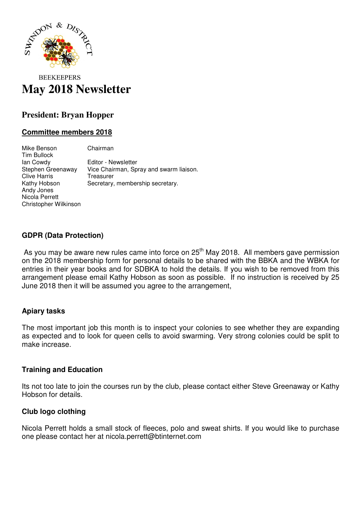

# **BEEKEEPERS May 2018 Newsletter**

# **President: Bryan Hopper**

## **Committee members 2018**

Mike Benson Chairman Tim Bullock Ian Cowdy Editor - Newsletter Stephen Greenaway Vice Chairman, Spray and swarm liaison. Clive Harris Treasurer Kathy Hobson Secretary, membership secretary. Andy Jones Nicola Perrett Christopher Wilkinson

#### **GDPR (Data Protection)**

As you may be aware new rules came into force on 25<sup>th</sup> May 2018. All members gave permission on the 2018 membership form for personal details to be shared with the BBKA and the WBKA for entries in their year books and for SDBKA to hold the details. If you wish to be removed from this arrangement please email Kathy Hobson as soon as possible. If no instruction is received by 25 June 2018 then it will be assumed you agree to the arrangement,

#### **Apiary tasks**

The most important job this month is to inspect your colonies to see whether they are expanding as expected and to look for queen cells to avoid swarming. Very strong colonies could be split to make increase.

#### **Training and Education**

Its not too late to join the courses run by the club, please contact either Steve Greenaway or Kathy Hobson for details.

#### **Club logo clothing**

Nicola Perrett holds a small stock of fleeces, polo and sweat shirts. If you would like to purchase one please contact her at nicola.perrett@btinternet.com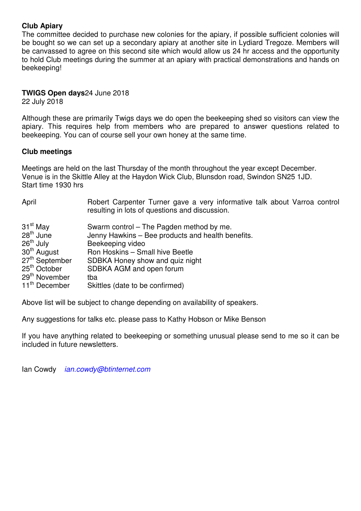## **Club Apiary**

The committee decided to purchase new colonies for the apiary, if possible sufficient colonies will be bought so we can set up a secondary apiary at another site in Lydiard Tregoze. Members will be canvassed to agree on this second site which would allow us 24 hr access and the opportunity to hold Club meetings during the summer at an apiary with practical demonstrations and hands on beekeeping!

#### **TWIGS Open days**24 June 2018

22 July 2018

Although these are primarily Twigs days we do open the beekeeping shed so visitors can view the apiary. This requires help from members who are prepared to answer questions related to beekeeping. You can of course sell your own honey at the same time.

#### **Club meetings**

Meetings are held on the last Thursday of the month throughout the year except December. Venue is in the Skittle Alley at the Haydon Wick Club, Blunsdon road, Swindon SN25 1JD. Start time 1930 hrs

| April                                                                                                                                                                                                              | Robert Carpenter Turner gave a very informative talk about Varroa control<br>resulting in lots of questions and discussion.                                                                                                                            |
|--------------------------------------------------------------------------------------------------------------------------------------------------------------------------------------------------------------------|--------------------------------------------------------------------------------------------------------------------------------------------------------------------------------------------------------------------------------------------------------|
| 31 <sup>st</sup> May<br>$28th$ June<br>26 <sup>th</sup> July<br>30 <sup>th</sup> August<br>27 <sup>th</sup> September<br>25 <sup>th</sup> October<br>29 <sup>th</sup> November<br>tba<br>11 <sup>th</sup> December | Swarm control – The Pagden method by me.<br>Jenny Hawkins - Bee products and health benefits.<br>Beekeeping video<br>Ron Hoskins - Small hive Beetle<br>SDBKA Honey show and quiz night<br>SDBKA AGM and open forum<br>Skittles (date to be confirmed) |

Above list will be subject to change depending on availability of speakers.

Any suggestions for talks etc. please pass to Kathy Hobson or Mike Benson

If you have anything related to beekeeping or something unusual please send to me so it can be included in future newsletters.

Ian Cowdy ian.cowdy@btinternet.com